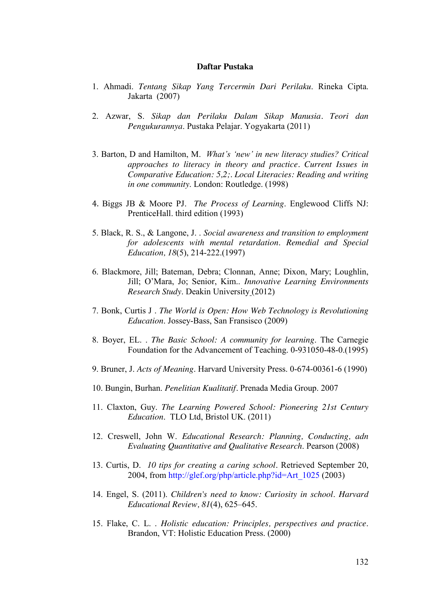## **Daftar Pustaka**

- 1. Ahmadi. *Tentang Sikap Yang Tercermin Dari Perilaku*. Rineka Cipta. Jakarta (2007)
- 2. Azwar, S. *Sikap dan Perilaku Dalam Sikap Manusia. Teori dan Pengukurannya*. Pustaka Pelajar. Yogyakarta (2011)
- 3. Barton, D and Hamilton, M. *What"s "new" in new literacy studies? Critical approaches to literacy in theory and practice. Current Issues in Comparative Education: 5,2;. Local Literacies: Reading and writing in one community*. London: Routledge. (1998)
- 4. Biggs JB & Moore PJ. *The Process of Learning*. Englewood Cliffs NJ: PrenticeHall. third edition (1993)
- 5. Black, R. S., & Langone, J. . *Social awareness and transition to employment for adolescents with mental retardation*. *Remedial and Special Education, 18*(5), 214-222.(1997)
- 6. Blackmore, Jill; Bateman, Debra; Clonnan, Anne; Dixon, Mary; Loughlin, Jill; O"Mara, Jo; Senior, Kim.. *Innovative Learning Environments Research Study*. Deakin University (2012)
- 7. Bonk, Curtis J . *The World is Open: How Web Technology is Revolutioning Education*. Jossey-Bass, San Fransisco (2009)
- 8. Boyer, EL. . *The Basic School: A community for learning*. The Carnegie Foundation for the Advancement of Teaching. 0-931050-48-0.(1995)
- 9. Bruner, J. *Acts of Meaning*. Harvard University Press. 0-674-00361-6 (1990)
- 10. Bungin, Burhan. *Penelitian Kualitatif.* Prenada Media Group. 2007
- 11. Claxton, Guy. *The Learning Powered School: Pioneering 21st Century Education*. TLO Ltd, Bristol UK. (2011)
- 12. Creswell, John W. *Educational Research: Planning, Conducting, adn Evaluating Quantitative and Qualitative Research*. Pearson (2008)
- 13. Curtis, D. *[10 tips for creating a caring school.](http://glef.org/php/article.php?id=Art_1025)* Retrieved September 20, 2004, from [http://glef.org/php/article.php?id=Art\\_1025](http://glef.org/php/article.php?id=Art_1025) [\(2003\)](http://glef.org/php/article.php?id=Art_1025)
- 14. Engel, S. (2011). *Children's need to know: Curiosity in school*. *Harvard Educational Review, 81*(4), 625–645.
- 15. Flake, C. L. . *Holistic education: Principles, perspectives and practice*. Brandon, VT: Holistic Education Press. (2000)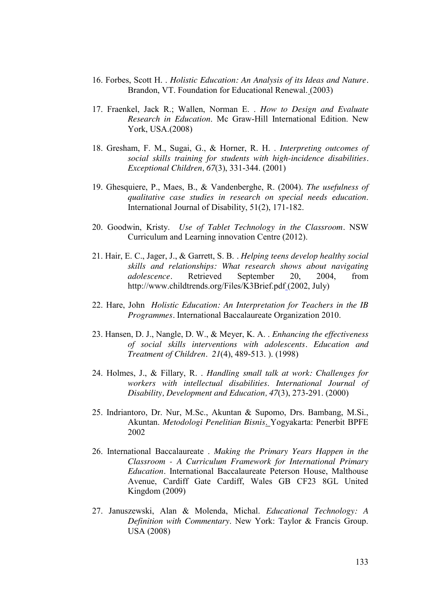- 16. Forbes, Scott H. . *Holistic Education: An Analysis of its Ideas and Nature.* Brandon, VT. Foundation for Educational Renewal. (2003)
- 17. Fraenkel, Jack R.; Wallen, Norman E. . *How to Design and Evaluate Research in Education*. Mc Graw-Hill International Edition. New York, USA.(2008)
- 18. Gresham, F. M., Sugai, G., & Horner, R. H. . *Interpreting outcomes of social skills training for students with high-incidence disabilities. Exceptional Children, 67*(3), 331-344. (2001)
- 19. Ghesquiere, P., Maes, B., & Vandenberghe, R. (2004). *The usefulness of qualitative case studies in research on special needs education*. International Journal of Disability, 51(2), 171-182.
- 20. Goodwin, Kristy. *Use of Tablet Technology in the Classroom.* NSW Curriculum and Learning innovation Centre (2012).
- 21. Hair, E. C., Jager, J., & Garrett, S. B. *. [Helping teens develop healthy social](http://www.childtrends.org/Files/K3Brief.pdf)  [skills and relationships: What research shows about navigating](http://www.childtrends.org/Files/K3Brief.pdf)  [adolescence.](http://www.childtrends.org/Files/K3Brief.pdf)* Retrieved September 20, 2004, from <http://www.childtrends.org/Files/K3Brief.pdf> [\(2002, July\)](http://www.childtrends.org/Files/K3Brief.pdf)
- 22. Hare, John *Holistic Education: An Interpretation for Teachers in the IB Programmes.* International Baccalaureate Organization 2010.
- 23. Hansen, D. J., Nangle, D. W., & Meyer, K. A. . *Enhancing the effectiveness of social skills interventions with adolescents. Education and Treatment of Children. 21*(4), 489-513. ). (1998)
- 24. Holmes, J., & Fillary, R. . *Handling small talk at work: Challenges for workers with intellectual disabilities*. *International Journal of Disability, Development and Education, 47*(3), 273-291. (2000)
- 25. Indriantoro, Dr. Nur, M.Sc., Akuntan & Supomo, Drs. Bambang, M.Si., Akuntan. *Metodologi Penelitian Bisnis*. Yogyakarta: Penerbit BPFE 2002
- 26. International Baccalaureate . *Making the Primary Years Happen in the Classroom - A Curriculum Framework for International Primary Education.* International Baccalaureate Peterson House, Malthouse Avenue, Cardiff Gate Cardiff, Wales GB CF23 8GL United Kingdom (2009)
- 27. Januszewski, Alan & Molenda, Michal. *Educational Technology: A Definition with Commentary*. New York: Taylor & Francis Group. USA (2008)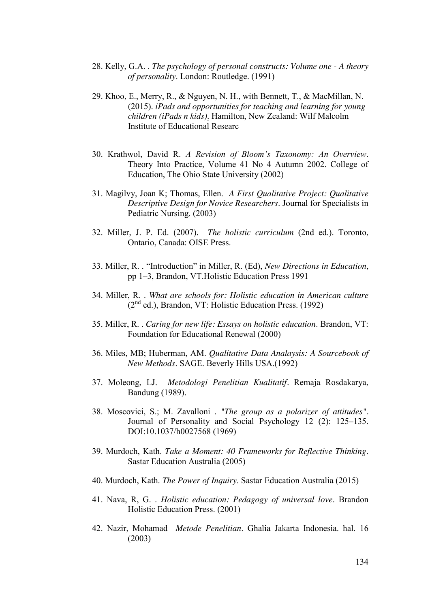- 28. Kelly, G.A. . *The psychology of personal constructs: Volume one - A theory of personality*. London: Routledge. (1991)
- 29. Khoo, E., Merry, R., & Nguyen, N. H., with Bennett, T., & MacMillan, N. (2015). *iPads and opportunities for teaching and learning for young children (iPads n kids)*. Hamilton, New Zealand: Wilf Malcolm Institute of Educational Researc
- 30. Krathwol, David R. *A Revision of Bloom"s Taxonomy: An Overview*. Theory Into Practice, Volume 41 No 4 Autumn 2002. College of Education, The Ohio State University (2002)
- 31. Magilvy, Joan K; Thomas, Ellen. *A First Qualitative Project: Qualitative Descriptive Design for Novice Researchers*. Journal for Specialists in Pediatric Nursing. (2003)
- 32. Miller, J. P. Ed. (2007). *The holistic curriculum* (2nd ed.). Toronto, Ontario, Canada: OISE Press.
- 33. Miller, R. . "Introduction" in Miller, R. (Ed), *New Directions in Education*, pp 1–3, Brandon, VT.Holistic Education Press 1991
- 34. Miller, R. . *What are schools for: Holistic education in American culture*  $(2<sup>nd</sup>$  ed.), Brandon, VT: Holistic Education Press. (1992)
- 35. Miller, R. . *Caring for new life: Essays on holistic education*. Brandon, VT: Foundation for Educational Renewal (2000)
- 36. Miles, MB; Huberman, AM. *Qualitative Data Analaysis: A Sourcebook of New Methods*. SAGE. Beverly Hills USA.(1992)
- 37. Moleong, LJ. *Metodologi Penelitian Kualitatif.* Remaja Rosdakarya, Bandung (1989).
- 38. Moscovici, S.; M. Zavalloni . *"The group as a polarizer of attitudes".* Journal of Personality and Social Psychology 12 (2): 125–135. DOI:10.1037/h0027568 (1969)
- 39. Murdoch, Kath. *Take a Moment: 40 Frameworks for Reflective Thinking*. Sastar Education Australia (2005)
- 40. Murdoch, Kath. *The Power of Inquiry*. Sastar Education Australia (2015)
- 41. Nava, R, G. . *Holistic education: Pedagogy of universal love*. Brandon Holistic Education Press. (2001)
- 42. Nazir, Mohamad *Metode Penelitian*. Ghalia Jakarta Indonesia. hal. 16 (2003)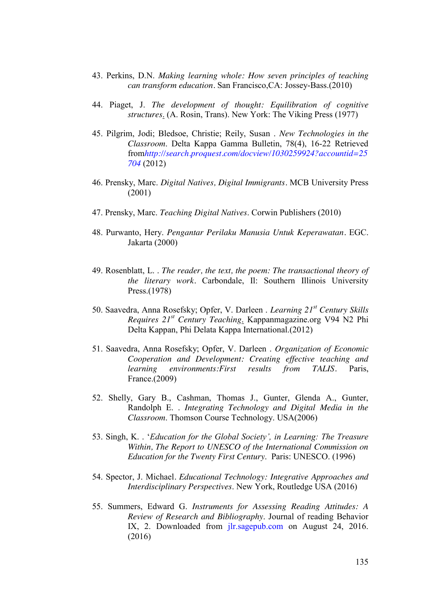- 43. Perkins, D.N. *Making learning whole: How seven principles of teaching can transform education.* San Francisco,CA: Jossey-Bass.(2010)
- 44. Piaget, J. *The development of thought: Equilibration of cognitive structures*. (A. Rosin, Trans). New York: The Viking Press (1977)
- 45. Pilgrim, Jodi; Bledsoe, Christie; Reily, Susan . *New Technologies in the Classroom*. Delta Kappa Gamma Bulletin, 78(4), 16-22 Retrieved from*[http://search.proquest.com/docview/1030259924?accountid=25](http://search.proquest.com/docview/1030259924?accountid=25704) [704](http://search.proquest.com/docview/1030259924?accountid=25704)* [\(2012\)](http://search.proquest.com/docview/1030259924?accountid=25704)
- 46. Prensky, Marc. *Digital Natives, Digital Immigrants.* MCB University Press (2001)
- 47. Prensky, Marc. *Teaching Digital Natives*. Corwin Publishers (2010)
- 48. Purwanto, Hery. *Pengantar Perilaku Manusia Untuk Keperawatan.* EGC. Jakarta (2000)
- 49. Rosenblatt, L. . *The reader, the text, the poem: The transactional theory of the literary work.* Carbondale, Il: Southern Illinois University Press.(1978)
- 50. Saavedra, Anna Rosefsky; Opfer, V. Darleen . *Learning 21st Century Skills Requires 21st Century Teaching*. Kappanmagazine.org V94 N2 Phi Delta Kappan, Phi Delata Kappa International.(2012)
- 51. Saavedra, Anna Rosefsky; Opfer, V. Darleen . *Organization of Economic Cooperation and Development: Creating effective teaching and learning environments:First results from TALIS.* Paris, France.(2009)
- 52. Shelly, Gary B., Cashman, Thomas J., Gunter, Glenda A., Gunter, Randolph E. . *Integrating Technology and Digital Media in the Classroom*. Thomson Course Technology. USA(2006)
- 53. Singh, K. . "*Education for the Global Society", in Learning: The Treasure Within, The Report to UNESCO of the International Commission on Education for the Twenty First Century*. Paris: UNESCO. (1996)
- 54. Spector, J. Michael*. Educational Technology: Integrative Approaches and Interdisciplinary Perspectives*. New York, Routledge USA (2016)
- 55. Summers, Edward G. *Instruments for Assessing Reading Attitudes: A Review of Research and Bibliography*. Journal of reading Behavior IX, 2. Downloaded from jlr.sagepub.com on August 24, 2016. (2016)